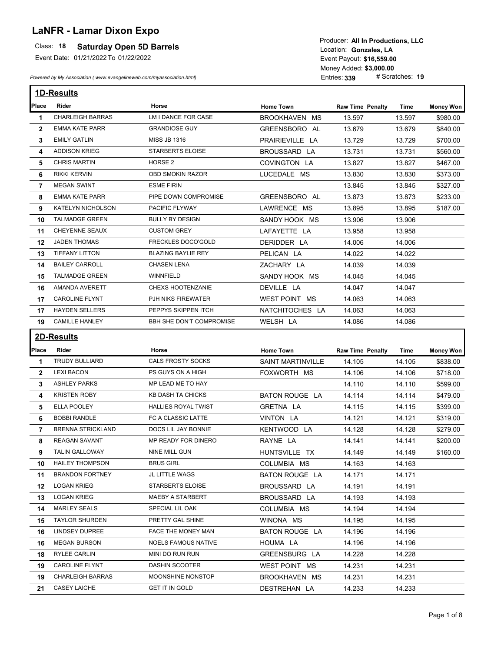## **LaNFR - Lamar Dixon Expo**

## Class: 18 **Saturday Open 5D Barrels**

Event Date: 01/21/2022 To 01/22/2022

*Powered by My Association ( www.evangelineweb.com/myassociation.html)* 

**\$16,559.00** Event Payout: Entries: **339** Money Added: **\$3,000.00**<br>Entries: **339** # Scratches: **19** Location: Gonzales, LA Producer: **All In Productions, LLC**

|                | 1D-Results               |                            |                          |                         |        |                  |
|----------------|--------------------------|----------------------------|--------------------------|-------------------------|--------|------------------|
| Place          | Rider                    | Horse                      | <b>Home Town</b>         | <b>Raw Time Penalty</b> | Time   | <b>Money Won</b> |
| 1              | <b>CHARLEIGH BARRAS</b>  | LM I DANCE FOR CASE        | BROOKHAVEN MS            | 13.597                  | 13.597 | \$980.00         |
| $\overline{2}$ | <b>EMMA KATE PARR</b>    | <b>GRANDIOSE GUY</b>       | GREENSBORO AL            | 13.679                  | 13.679 | \$840.00         |
| 3              | <b>EMILY GATLIN</b>      | <b>MISS JB 1316</b>        | PRAIRIEVILLE LA          | 13.729                  | 13.729 | \$700.00         |
| 4              | <b>ADDISON KRIEG</b>     | <b>STARBERTS ELOISE</b>    | BROUSSARD LA             | 13.731                  | 13.731 | \$560.00         |
| 5              | <b>CHRIS MARTIN</b>      | HORSE <sub>2</sub>         | COVINGTON LA             | 13.827                  | 13.827 | \$467.00         |
| 6              | <b>RIKKI KERVIN</b>      | OBD SMOKIN RAZOR           | LUCEDALE MS              | 13.830                  | 13.830 | \$373.00         |
| 7              | <b>MEGAN SWINT</b>       | <b>ESME FIRIN</b>          |                          | 13.845                  | 13.845 | \$327.00         |
| 8              | <b>EMMA KATE PARR</b>    | PIPE DOWN COMPROMISE       | GREENSBORO AL            | 13.873                  | 13.873 | \$233.00         |
| 9              | KATELYN NICHOLSON        | PACIFIC FLYWAY             | LAWRENCE MS              | 13.895                  | 13.895 | \$187.00         |
| 10             | <b>TALMADGE GREEN</b>    | <b>BULLY BY DESIGN</b>     | SANDY HOOK MS            | 13.906                  | 13.906 |                  |
| 11             | <b>CHEYENNE SEAUX</b>    | <b>CUSTOM GREY</b>         | LAFAYETTE LA             | 13.958                  | 13.958 |                  |
| 12             | <b>JADEN THOMAS</b>      | <b>FRECKLES DOCO'GOLD</b>  | DERIDDER LA              | 14.006                  | 14.006 |                  |
| 13             | <b>TIFFANY LITTON</b>    | <b>BLAZING BAYLIE REY</b>  | PELICAN LA               | 14.022                  | 14.022 |                  |
| 14             | <b>BAILEY CARROLL</b>    | <b>CHASEN LENA</b>         | ZACHARY LA               | 14.039                  | 14.039 |                  |
| 15             | <b>TALMADGE GREEN</b>    | WINNFIELD                  | SANDY HOOK MS            | 14.045                  | 14.045 |                  |
| 16             | AMANDA AVERETT           | <b>CHEXS HOOTENZANIE</b>   | DEVILLE LA               | 14.047                  | 14.047 |                  |
| 17             | <b>CAROLINE FLYNT</b>    | PJH NIKS FIREWATER         | WEST POINT MS            | 14.063                  | 14.063 |                  |
| 17             | <b>HAYDEN SELLERS</b>    | PEPPYS SKIPPEN ITCH        | NATCHITOCHES LA          | 14.063                  | 14.063 |                  |
| 19             | <b>CAMILLE HANLEY</b>    | BBH SHE DON'T COMPROMISE   | WELSH LA                 | 14.086                  | 14.086 |                  |
|                | <b>2D-Results</b>        |                            |                          |                         |        |                  |
| Place          | Rider                    | Horse                      | <b>Home Town</b>         | <b>Raw Time Penalty</b> |        |                  |
|                |                          |                            |                          |                         | Time   | <b>Money Won</b> |
| 1              | TRUDY BULLIARD           | <b>CALS FROSTY SOCKS</b>   | <b>SAINT MARTINVILLE</b> | 14.105                  | 14.105 | \$838.00         |
| $\overline{2}$ | <b>LEXI BACON</b>        | PS GUYS ON A HIGH          | FOXWORTH MS              | 14.106                  | 14.106 | \$718.00         |
| 3              | <b>ASHLEY PARKS</b>      | MP LEAD ME TO HAY          |                          | 14.110                  | 14.110 | \$599.00         |
| 4              | <b>KRISTEN ROBY</b>      | KB DASH TA CHICKS          | <b>BATON ROUGE LA</b>    | 14.114                  | 14.114 | \$479.00         |
| 5              | ELLA POOLEY              | <b>HALLIES ROYAL TWIST</b> | <b>GRETNA LA</b>         | 14.115                  | 14.115 | \$399.00         |
| 6              | <b>BOBBI RANDLE</b>      | FC A CLASSIC LATTE         | VINTON LA                | 14.121                  | 14.121 | \$319.00         |
| $\overline{7}$ | <b>BRENNA STRICKLAND</b> | DOCS LIL JAY BONNIE        | KENTWOOD LA              | 14.128                  | 14.128 | \$279.00         |
| 8              | <b>REAGAN SAVANT</b>     | MP READY FOR DINERO        | RAYNE LA                 | 14.141                  | 14.141 | \$200.00         |
| 9              | <b>TALIN GALLOWAY</b>    | NINE MILL GUN              | HUNTSVILLE TX            | 14.149                  | 14.149 | \$160.00         |
| 10             | <b>HAILEY THOMPSON</b>   | <b>BRUS GIRL</b>           | COLUMBIA MS              | 14.163                  | 14.163 |                  |
| 11             | <b>BRANDON FORTNEY</b>   | JL LITTLE WAGS             | <b>BATON ROUGE LA</b>    | 14.171                  | 14.171 |                  |
| 12             | <b>LOGAN KRIEG</b>       | STARBERTS ELOISE           | BROUSSARD LA             | 14.191                  | 14.191 |                  |
| 13             | <b>LOGAN KRIEG</b>       | MAEBY A STARBERT           | BROUSSARD LA             | 14.193                  | 14.193 |                  |
| 14             | <b>MARLEY SEALS</b>      | SPECIAL LIL OAK            | COLUMBIA MS              | 14.194                  | 14.194 |                  |
| 15             | <b>TAYLOR SHURDEN</b>    | PRETTY GAL SHINE           | WINONA MS                | 14.195                  | 14.195 |                  |
| 16             | LINDSEY DUPREE           | FACE THE MONEY MAN         | BATON ROUGE LA           | 14.196                  | 14.196 |                  |
| 16             | <b>MEGAN BURSON</b>      | <b>NOELS FAMOUS NATIVE</b> | HOUMA LA                 | 14.196                  | 14.196 |                  |
| 18             | <b>RYLEE CARLIN</b>      | MINI DO RUN RUN            | GREENSBURG LA            | 14.228                  | 14.228 |                  |
| 19             | <b>CAROLINE FLYNT</b>    | DASHIN SCOOTER             | WEST POINT MS            | 14.231                  | 14.231 |                  |
| 19             | <b>CHARLEIGH BARRAS</b>  | MOONSHINE NONSTOP          | BROOKHAVEN MS            | 14.231                  | 14.231 |                  |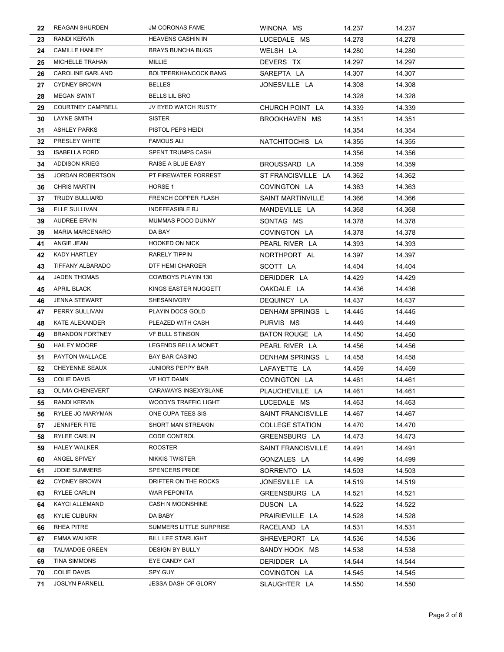| 22 | <b>REAGAN SHURDEN</b>    | <b>JM CORONAS FAME</b>      | WINONA MS              | 14.237 | 14.237 |
|----|--------------------------|-----------------------------|------------------------|--------|--------|
| 23 | RANDI KERVIN             | <b>HEAVENS CASHIN IN</b>    | LUCEDALE MS            | 14.278 | 14.278 |
| 24 | <b>CAMILLE HANLEY</b>    | <b>BRAYS BUNCHA BUGS</b>    | WELSH LA               | 14.280 | 14.280 |
| 25 | MICHELLE TRAHAN          | MILLIE                      | DEVERS TX              | 14.297 | 14.297 |
| 26 | <b>CAROLINE GARLAND</b>  | <b>BOLTPERKHANCOCK BANG</b> | SAREPTA LA             | 14.307 | 14.307 |
| 27 | <b>CYDNEY BROWN</b>      | <b>BELLES</b>               | JONESVILLE LA          | 14.308 | 14.308 |
| 28 | <b>MEGAN SWINT</b>       | <b>BELLS LIL BRO</b>        |                        | 14.328 | 14.328 |
| 29 | <b>COURTNEY CAMPBELL</b> | JV EYED WATCH RUSTY         | CHURCH POINT LA        | 14.339 | 14.339 |
| 30 | <b>LAYNE SMITH</b>       | <b>SISTER</b>               | BROOKHAVEN MS          | 14.351 | 14.351 |
| 31 | <b>ASHLEY PARKS</b>      | PISTOL PEPS HEIDI           |                        | 14.354 | 14.354 |
| 32 | PRESLEY WHITE            | <b>FAMOUS ALI</b>           | NATCHITOCHIS LA        | 14.355 | 14.355 |
| 33 | <b>ISABELLA FORD</b>     | <b>SPENT TRUMPS CASH</b>    |                        | 14.356 | 14.356 |
| 34 | <b>ADDISON KRIEG</b>     | RAISE A BLUE EASY           | BROUSSARD LA           | 14.359 | 14.359 |
| 35 | <b>JORDAN ROBERTSON</b>  | PT FIREWATER FORREST        | ST FRANCISVILLE LA     | 14.362 | 14.362 |
| 36 | <b>CHRIS MARTIN</b>      | HORSE 1                     | COVINGTON LA           | 14.363 | 14.363 |
| 37 | <b>TRUDY BULLIARD</b>    | FRENCH COPPER FLASH         | SAINT MARTINVILLE      | 14.366 | 14.366 |
| 38 | ELLE SULLIVAN            | <b>INDEFEASIBLE BJ</b>      | MANDEVILLE LA          | 14.368 | 14.368 |
| 39 | <b>AUDREE ERVIN</b>      | MUMMAS POCO DUNNY           | SONTAG MS              | 14.378 | 14.378 |
| 39 | <b>MARIA MARCENARO</b>   | DA BAY                      | COVINGTON LA           | 14.378 | 14.378 |
| 41 | ANGIE JEAN               | <b>HOOKED ON NICK</b>       | PEARL RIVER LA         | 14.393 | 14.393 |
| 42 | KADY HARTLEY             | RARELY TIPPIN               | NORTHPORT AL           | 14.397 | 14.397 |
| 43 | TIFFANY ALBARADO         | DTF HEMI CHARGER            | SCOTT LA               | 14.404 | 14.404 |
| 44 | <b>JADEN THOMAS</b>      | COWBOYS PLAYIN 130          | DERIDDER LA            | 14.429 | 14.429 |
| 45 | APRIL BLACK              | KINGS EASTER NUGGETT        | OAKDALE LA             | 14.436 | 14.436 |
| 46 | <b>JENNA STEWART</b>     | SHESANIVORY                 | DEQUINCY LA            | 14.437 | 14.437 |
| 47 | PERRY SULLIVAN           | PLAYIN DOCS GOLD            | DENHAM SPRINGS L       | 14.445 | 14.445 |
| 48 | KATE ALEXANDER           | PLEAZED WITH CASH           | PURVIS MS              | 14.449 | 14.449 |
| 49 | <b>BRANDON FORTNEY</b>   | <b>VF BULL STINSON</b>      | BATON ROUGE LA         | 14.450 | 14.450 |
| 50 | <b>HAILEY MOORE</b>      | LEGENDS BELLA MONET         | PEARL RIVER LA         | 14.456 | 14.456 |
| 51 | PAYTON WALLACE           | BAY BAR CASINO              | DENHAM SPRINGS L       | 14.458 | 14.458 |
| 52 | CHEYENNE SEAUX           | <b>JUNIORS PEPPY BAR</b>    | LAFAYETTE LA           | 14.459 | 14.459 |
| 53 | <b>COLIE DAVIS</b>       | <b>VF HOT DAMN</b>          | COVINGTON LA           | 14.461 | 14.461 |
| 53 | OLIVIA CHENEVERT         | CARAWAYS INSEXYSLANE        | PLAUCHEVILLE LA        | 14.461 | 14.461 |
| 55 | RANDI KERVIN             | <b>WOODYS TRAFFIC LIGHT</b> | LUCEDALE MS            | 14.463 | 14.463 |
| 56 | RYLEE JO MARYMAN         | ONE CUPA TEES SIS           | SAINT FRANCISVILLE     | 14.467 | 14.467 |
| 57 | <b>JENNIFER FITE</b>     | SHORT MAN STREAKIN          | <b>COLLEGE STATION</b> | 14.470 | 14.470 |
| 58 | RYLEE CARLIN             | CODE CONTROL                | GREENSBURG LA          | 14.473 | 14.473 |
| 59 | <b>HALEY WALKER</b>      | <b>ROOSTER</b>              | SAINT FRANCISVILLE     | 14.491 | 14.491 |
| 60 | ANGEL SPIVEY             | NIKKIS TWISTER              | GONZALES LA            | 14.499 | 14.499 |
| 61 | <b>JODIE SUMMERS</b>     | SPENCERS PRIDE              | SORRENTO LA            | 14.503 | 14.503 |
| 62 | <b>CYDNEY BROWN</b>      | DRIFTER ON THE ROCKS        | JONESVILLE LA          | 14.519 | 14.519 |
| 63 | <b>RYLEE CARLIN</b>      | WAR PEPONITA                | GREENSBURG LA          | 14.521 | 14.521 |
| 64 | KAYCI ALLEMAND           | CASH N MOONSHINE            | DUSON LA               | 14.522 | 14.522 |
| 65 | <b>KYLIE CLIBURN</b>     | DA BABY                     | PRAIRIEVILLE LA        | 14.528 | 14.528 |
| 66 | RHEA PITRE               | SUMMERS LITTLE SURPRISE     | RACELAND LA            | 14.531 | 14.531 |
| 67 | <b>EMMA WALKER</b>       | BILL LEE STARLIGHT          | SHREVEPORT LA          | 14.536 | 14.536 |
| 68 | <b>TALMADGE GREEN</b>    | DESIGN BY BULLY             | SANDY HOOK MS          | 14.538 | 14.538 |
| 69 | TINA SIMMONS             | EYE CANDY CAT               | DERIDDER LA            | 14.544 | 14.544 |
| 70 | <b>COLIE DAVIS</b>       | SPY GUY                     | COVINGTON LA           | 14.545 | 14.545 |
| 71 | <b>JOSLYN PARNELL</b>    | <b>JESSA DASH OF GLORY</b>  | SLAUGHTER LA           | 14.550 | 14.550 |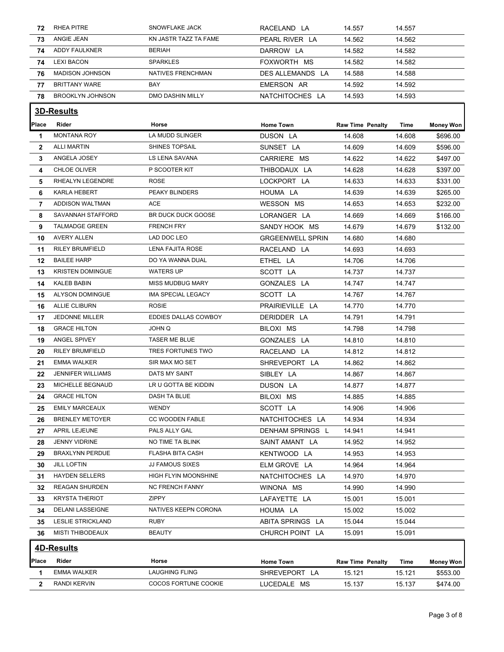| 72           | RHEA PITRE               | SNOWFLAKE JACK           | RACELAND LA             | 14.557                  | 14.557 |                  |
|--------------|--------------------------|--------------------------|-------------------------|-------------------------|--------|------------------|
| 73           | ANGIE JEAN               | KN JASTR TAZZ TA FAME    | PEARL RIVER LA          | 14.562                  | 14.562 |                  |
| 74           | ADDY FAULKNER            | <b>BERIAH</b>            | DARROW LA               | 14.582                  | 14.582 |                  |
| 74           | <b>LEXI BACON</b>        | <b>SPARKLES</b>          | FOXWORTH MS             | 14.582                  | 14.582 |                  |
| 76           | <b>MADISON JOHNSON</b>   | <b>NATIVES FRENCHMAN</b> | DES ALLEMANDS LA        | 14.588                  | 14.588 |                  |
| 77           | <b>BRITTANY WARE</b>     | BAY                      | EMERSON AR              | 14.592                  | 14.592 |                  |
| 78           | <b>BROOKLYN JOHNSON</b>  | <b>DMO DASHIN MILLY</b>  | NATCHITOCHES LA         | 14.593                  | 14.593 |                  |
|              | <b>3D-Results</b>        |                          |                         |                         |        |                  |
| Place        | Rider                    | Horse                    | <b>Home Town</b>        | <b>Raw Time Penalty</b> | Time   | <b>Money Won</b> |
| 1            | <b>MONTANA ROY</b>       | <b>LA MUDD SLINGER</b>   | DUSON LA                | 14.608                  | 14.608 | \$696.00         |
| $\mathbf{2}$ | <b>ALLI MARTIN</b>       | <b>SHINES TOPSAIL</b>    | SUNSET LA               | 14.609                  | 14.609 | \$596.00         |
| 3            | ANGELA JOSEY             | LS LENA SAVANA           | CARRIERE MS             | 14.622                  | 14.622 | \$497.00         |
| 4            | CHLOE OLIVER             | P SCOOTER KIT            | THIBODAUX LA            | 14.628                  | 14.628 | \$397.00         |
| 5            | RHEALYN LEGENDRE         | <b>ROSE</b>              | LOCKPORT LA             | 14.633                  | 14.633 | \$331.00         |
| 6            | KARLA HEBERT             | PEAKY BLINDERS           | HOUMA LA                | 14.639                  | 14.639 | \$265.00         |
| 7            | ADDISON WALTMAN          | ACE                      | WESSON MS               | 14.653                  | 14.653 | \$232.00         |
| 8            | SAVANNAH STAFFORD        | BR DUCK DUCK GOOSE       | LORANGER LA             | 14.669                  | 14.669 | \$166.00         |
| 9            | <b>TALMADGE GREEN</b>    | <b>FRENCH FRY</b>        | SANDY HOOK MS           | 14.679                  | 14.679 | \$132.00         |
| 10           | <b>AVERY ALLEN</b>       | LAD DOC LEO              | <b>GRGEENWELL SPRIN</b> | 14.680                  | 14.680 |                  |
| 11           | <b>RILEY BRUMFIELD</b>   | LENA FAJITA ROSE         | RACELAND LA             | 14.693                  | 14.693 |                  |
| 12           | <b>BAILEE HARP</b>       | DO YA WANNA DUAL         | ETHEL LA                | 14.706                  | 14.706 |                  |
| 13           | <b>KRISTEN DOMINGUE</b>  | <b>WATERS UP</b>         | SCOTT LA                | 14.737                  | 14.737 |                  |
| 14           | KALEB BABIN              | <b>MISS MUDBUG MARY</b>  | GONZALES LA             | 14.747                  | 14.747 |                  |
| 15           | ALYSON DOMINGUE          | IMA SPECIAL LEGACY       | SCOTT LA                | 14.767                  | 14.767 |                  |
| 16           | <b>ALLIE CLIBURN</b>     | <b>ROSIE</b>             | PRAIRIEVILLE LA         | 14.770                  | 14.770 |                  |
| 17           | <b>JEDONNE MILLER</b>    | EDDIES DALLAS COWBOY     | DERIDDER LA             | 14.791                  | 14.791 |                  |
| 18           | <b>GRACE HILTON</b>      | JOHN Q                   | BILOXI MS               | 14.798                  | 14.798 |                  |
| 19           | ANGEL SPIVEY             | <b>TASER ME BLUE</b>     | GONZALES LA             | 14.810                  | 14.810 |                  |
| 20           | <b>RILEY BRUMFIELD</b>   | TRES FORTUNES TWO        | RACELAND LA             | 14.812                  | 14.812 |                  |
| 21           | <b>EMMA WALKER</b>       | SIR MAX MO SET           | SHREVEPORT LA           | 14.862                  | 14.862 |                  |
| 22           | <b>JENNIFER WILLIAMS</b> | DATS MY SAINT            | SIBLEY LA               | 14.867                  | 14.867 |                  |
| 23           | <b>MICHELLE BEGNAUD</b>  | LR U GOTTA BE KIDDIN     | DUSON LA                | 14.877                  | 14.877 |                  |
| 24           | <b>GRACE HILTON</b>      | DASH TA BLUE             | BILOXI MS               | 14.885                  | 14.885 |                  |
| 25           | <b>EMILY MARCEAUX</b>    | <b>WENDY</b>             | SCOTT LA                | 14.906                  | 14.906 |                  |
| 26           | <b>BRENLEY METOYER</b>   | <b>CC WOODEN FABLE</b>   | NATCHITOCHES LA         | 14.934                  | 14.934 |                  |
| 27           | APRIL LEJEUNE            | PALS ALLY GAL            | <b>DENHAM SPRINGS L</b> | 14.941                  | 14.941 |                  |
| 28           | JENNY VIDRINE            | NO TIME TA BLINK         | SAINT AMANT LA          | 14.952                  | 14.952 |                  |
| 29           | <b>BRAXLYNN PERDUE</b>   | FLASHA BITA CASH         | KENTWOOD LA             | 14.953                  | 14.953 |                  |
| 30           | <b>JILL LOFTIN</b>       | <b>JJ FAMOUS SIXES</b>   | ELM GROVE LA            | 14.964                  | 14.964 |                  |
| 31           | <b>HAYDEN SELLERS</b>    | HIGH FLYIN MOONSHINE     | NATCHITOCHES LA         | 14.970                  | 14.970 |                  |
| 32           | <b>REAGAN SHURDEN</b>    | <b>NC FRENCH FANNY</b>   | WINONA MS               | 14.990                  | 14.990 |                  |
| 33           | <b>KRYSTA THERIOT</b>    | ZIPPY                    | LAFAYETTE LA            | 15.001                  | 15.001 |                  |
| 34           | DELANI LASSEIGNE         | NATIVES KEEPN CORONA     | HOUMA LA                | 15.002                  | 15.002 |                  |
| 35           | <b>LESLIE STRICKLAND</b> | <b>RUBY</b>              | ABITA SPRINGS LA        | 15.044                  | 15.044 |                  |
| 36           | <b>MISTI THIBODEAUX</b>  | BEAUTY                   | CHURCH POINT LA         | 15.091                  | 15.091 |                  |
|              | <b>4D-Results</b>        |                          |                         |                         |        |                  |
| Place        | Rider                    | Horse                    | <b>Home Town</b>        | <b>Raw Time Penalty</b> | Time   | <b>Money Won</b> |
| 1            | <b>EMMA WALKER</b>       | <b>LAUGHING FLING</b>    | SHREVEPORT LA           | 15.121                  | 15.121 | \$553.00         |
| 2            | RANDI KERVIN             | COCOS FORTUNE COOKIE     | LUCEDALE MS             | 15.137                  | 15.137 | \$474.00         |
|              |                          |                          |                         |                         |        |                  |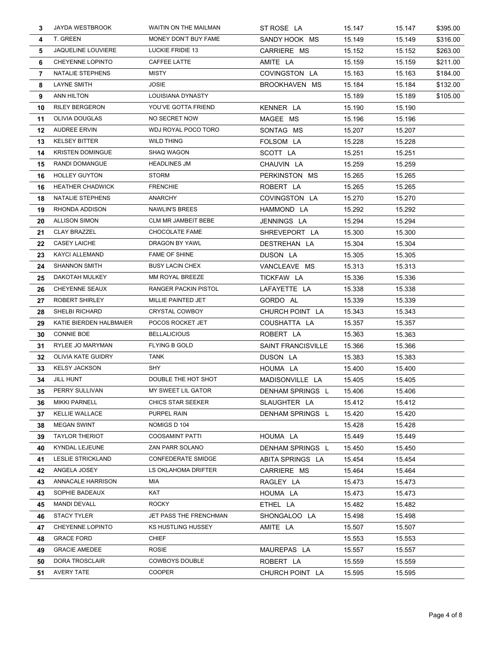| 3   | JAYDA WESTBROOK           | WAITIN ON THE MAILMAN      | ST ROSE LA                | 15.147 | 15.147 | \$395.00 |
|-----|---------------------------|----------------------------|---------------------------|--------|--------|----------|
| 4   | T. GREEN                  | MONEY DON'T BUY FAME       | SANDY HOOK MS             | 15.149 | 15.149 | \$316.00 |
| 5   | JAQUELINE LOUVIERE        | LUCKIE FRIDIE 13           | CARRIERE MS               | 15.152 | 15.152 | \$263.00 |
| 6   | CHEYENNE LOPINTO          | CAFFEE LATTE               | AMITE LA                  | 15.159 | 15.159 | \$211.00 |
| 7   | NATALIE STEPHENS          | <b>MISTY</b>               | COVINGSTON LA             | 15.163 | 15.163 | \$184.00 |
| 8   | LAYNE SMITH               | <b>JOSIE</b>               | BROOKHAVEN MS             | 15.184 | 15.184 | \$132.00 |
| 9   | ANN HILTON                | LOUISIANA DYNASTY          |                           | 15.189 | 15.189 | \$105.00 |
| 10  | <b>RILEY BERGERON</b>     | YOU'VE GOTTA FRIEND        | KENNER LA                 | 15.190 | 15.190 |          |
| 11  | OLIVIA DOUGLAS            | NO SECRET NOW              | MAGEE MS                  | 15.196 | 15.196 |          |
| 12  | <b>AUDREE ERVIN</b>       | WDJ ROYAL POCO TORO        | SONTAG MS                 | 15.207 | 15.207 |          |
| 13  | <b>KELSEY BITTER</b>      | <b>WILD THING</b>          | FOLSOM LA                 | 15.228 | 15.228 |          |
| 14  | <b>KRISTEN DOMINGUE</b>   | SHAQ WAGON                 | SCOTT LA                  | 15.251 | 15.251 |          |
| 15  | RANDI DOMANGUE            | <b>HEADLINES JM</b>        | CHAUVIN LA                | 15.259 | 15.259 |          |
| 16  | <b>HOLLEY GUYTON</b>      | <b>STORM</b>               | PERKINSTON MS             | 15.265 | 15.265 |          |
| 16  | <b>HEATHER CHADWICK</b>   | <b>FRENCHIE</b>            | ROBERT LA                 | 15.265 | 15.265 |          |
| 18  | NATALIE STEPHENS          | <b>ANARCHY</b>             | COVINGSTON LA             | 15.270 | 15.270 |          |
| 19  | RHONDA ADDISON            | <b>NAWLIN'S BREES</b>      | HAMMOND LA                | 15.292 | 15.292 |          |
| 20  | <b>ALLISON SIMON</b>      | <b>CLM MR JAMBEIT BEBE</b> | JENNINGS LA               | 15.294 | 15.294 |          |
| 21  | <b>CLAY BRAZZEL</b>       | CHOCOLATE FAME             | SHREVEPORT LA             | 15.300 | 15.300 |          |
| 22  | <b>CASEY LAICHE</b>       | DRAGON BY YAWL             | DESTREHAN LA              | 15.304 | 15.304 |          |
| 23  | <b>KAYCI ALLEMAND</b>     | <b>FAME OF SHINE</b>       | DUSON LA                  | 15.305 | 15.305 |          |
| 24  | <b>SHANNON SMITH</b>      | <b>BUSY LACIN CHEX</b>     | VANCLEAVE MS              | 15.313 | 15.313 |          |
| 25  | DAKOTAH MULKEY            | MM ROYAL BREEZE            | TICKFAW LA                | 15.336 | 15.336 |          |
| 26  | CHEYENNE SEAUX            | RANGER PACKIN PISTOL       | LAFAYETTE LA              | 15.338 | 15.338 |          |
| 27  | ROBERT SHIRLEY            | MILLIE PAINTED JET         | GORDO AL                  | 15.339 | 15.339 |          |
| 28  | SHELBI RICHARD            | CRYSTAL COWBOY             | CHURCH POINT LA           | 15.343 | 15.343 |          |
| 29  | KATIE BIERDEN HALBMAIER   | POCOS ROCKET JET           | COUSHATTA LA              | 15.357 | 15.357 |          |
| 30  | <b>CONNIE BOE</b>         | <b>BELLALICIOUS</b>        | ROBERT LA                 | 15.363 | 15.363 |          |
| 31  | RYLEE JO MARYMAN          | FLYING B GOLD              | <b>SAINT FRANCISVILLE</b> | 15.366 | 15.366 |          |
| 32  | <b>OLIVIA KATE GUIDRY</b> | <b>TANK</b>                | DUSON LA                  | 15.383 | 15.383 |          |
| 33  | <b>KELSY JACKSON</b>      | SHY                        | HOUMA LA                  | 15.400 | 15.400 |          |
| 34  | <b>JILL HUNT</b>          | DOUBLE THE HOT SHOT        | MADISONVILLE LA           | 15.405 | 15.405 |          |
| 35  | PERRY SULLIVAN            | MY SWEET LIL GATOR         | DENHAM SPRINGS L          | 15.406 | 15.406 |          |
| 36. | <b>MIKKI PARNELL</b>      | <b>CHICS STAR SEEKER</b>   | SLAUGHTER LA              | 15.412 | 15.412 |          |
| 37  | <b>KELLIE WALLACE</b>     | PURPEL RAIN                | <b>DENHAM SPRINGS L</b>   | 15.420 | 15.420 |          |
| 38  | <b>MEGAN SWINT</b>        | NOMIGS D 104               |                           | 15.428 | 15.428 |          |
| 39  | <b>TAYLOR THERIOT</b>     | <b>COOSAMINT PATTI</b>     | HOUMA LA                  | 15.449 | 15.449 |          |
| 40  | KYNDAL LEJEUNE            | ZAN PARR SOLANO            | DENHAM SPRINGS L          | 15.450 | 15.450 |          |
| 41  | LESLIE STRICKLAND         | CONFEDERATE SMIDGE         | ABITA SPRINGS LA          | 15.454 | 15.454 |          |
| 42  | ANGELA JOSEY              | LS OKLAHOMA DRIFTER        | CARRIERE MS               | 15.464 | 15.464 |          |
| 43  | ANNACALE HARRISON         | MIA                        | RAGLEY LA                 | 15.473 | 15.473 |          |
| 43  | SOPHIE BADEAUX            | KAT                        | HOUMA LA                  | 15.473 | 15.473 |          |
| 45  | <b>MANDI DEVALL</b>       | <b>ROCKY</b>               | ETHEL LA                  | 15.482 | 15.482 |          |
| 46  | <b>STACY TYLER</b>        | JET PASS THE FRENCHMAN     | SHONGALOO LA              | 15.498 | 15.498 |          |
| 47  | CHEYENNE LOPINTO          | KS HUSTLING HUSSEY         | AMITE LA                  | 15.507 | 15.507 |          |
| 48  | <b>GRACE FORD</b>         | CHIEF                      |                           | 15.553 | 15.553 |          |
| 49  | <b>GRACIE AMEDEE</b>      | ROSIE                      | MAUREPAS LA               | 15.557 | 15.557 |          |
| 50  | DORA TROSCLAIR            | <b>COWBOYS DOUBLE</b>      | ROBERT LA                 | 15.559 | 15.559 |          |
| 51  | AVERY TATE                | <b>COOPER</b>              | CHURCH POINT LA           | 15.595 | 15.595 |          |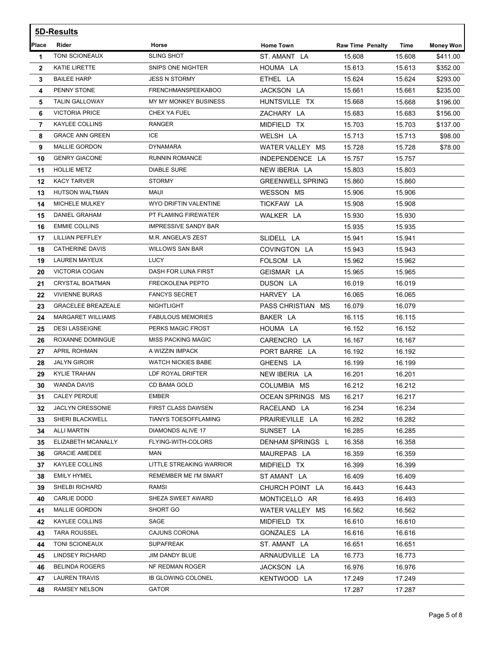|              | 5D-Results                |                             |                         |                         |        |                  |  |  |
|--------------|---------------------------|-----------------------------|-------------------------|-------------------------|--------|------------------|--|--|
| Place        | Rider                     | Horse                       | <b>Home Town</b>        | <b>Raw Time Penalty</b> | Time   | <b>Money Won</b> |  |  |
| 1            | TONI SCIONEAUX            | <b>SLING SHOT</b>           | ST. AMANT LA            | 15.608                  | 15.608 | \$411.00         |  |  |
| $\mathbf{2}$ | KATIE LIRETTE             | SNIPS ONE NIGHTER           | HOUMA LA                | 15.613                  | 15.613 | \$352.00         |  |  |
| 3            | <b>BAILEE HARP</b>        | <b>JESS N STORMY</b>        | ETHEL LA                | 15.624                  | 15.624 | \$293.00         |  |  |
| 4            | PENNY STONE               | FRENCHMANSPEEKABOO          | JACKSON LA              | 15.661                  | 15.661 | \$235.00         |  |  |
| 5            | <b>TALIN GALLOWAY</b>     | MY MY MONKEY BUSINESS       | HUNTSVILLE TX           | 15.668                  | 15.668 | \$196.00         |  |  |
| 6            | <b>VICTORIA PRICE</b>     | CHEX YA FUEL                | ZACHARY LA              | 15.683                  | 15.683 | \$156.00         |  |  |
| 7            | <b>KAYLEE COLLINS</b>     | <b>RANGER</b>               | MIDFIELD TX             | 15.703                  | 15.703 | \$137.00         |  |  |
| 8            | <b>GRACE ANN GREEN</b>    | ICE                         | WELSH LA                | 15.713                  | 15.713 | \$98.00          |  |  |
| 9            | <b>MALLIE GORDON</b>      | <b>DYNAMARA</b>             | WATER VALLEY MS         | 15.728                  | 15.728 | \$78.00          |  |  |
| 10           | <b>GENRY GIACONE</b>      | <b>RUNNIN ROMANCE</b>       | INDEPENDENCE LA         | 15.757                  | 15.757 |                  |  |  |
| 11           | <b>HOLLIE METZ</b>        | <b>DIABLE SURE</b>          | NEW IBERIA LA           | 15.803                  | 15.803 |                  |  |  |
| 12           | <b>KACY TARVER</b>        | <b>STORMY</b>               | <b>GREENWELL SPRING</b> | 15.860                  | 15.860 |                  |  |  |
| 13           | HUTSON WALTMAN            | MAUI                        | <b>WESSON MS</b>        | 15.906                  | 15.906 |                  |  |  |
| 14           | MICHELE MULKEY            | WYO DRIFTIN VALENTINE       | TICKFAW LA              | 15.908                  | 15.908 |                  |  |  |
| 15           | DANIEL GRAHAM             | PT FLAMING FIREWATER        | WALKER LA               | 15.930                  | 15.930 |                  |  |  |
| 16           | <b>EMMIE COLLINS</b>      | <b>IMPRESSIVE SANDY BAR</b> |                         | 15.935                  | 15.935 |                  |  |  |
| 17           | LILLIAN PEFFLEY           | M.R. ANGELA'S ZEST          | SLIDELL LA              | 15.941                  | 15.941 |                  |  |  |
| 18           | <b>CATHERINE DAVIS</b>    | <b>WILLOWS SAN BAR</b>      | COVINGTON LA            | 15.943                  | 15.943 |                  |  |  |
| 19           | LAUREN MAYEUX             | LUCY                        | FOLSOM LA               | 15.962                  | 15.962 |                  |  |  |
| 20           | VICTORIA COGAN            | DASH FOR LUNA FIRST         | GEISMAR LA              | 15.965                  | 15.965 |                  |  |  |
| 21           | <b>CRYSTAL BOATMAN</b>    | <b>FRECKOLENA PEPTO</b>     | DUSON LA                | 16.019                  | 16.019 |                  |  |  |
| 22           | <b>VIVIENNE BURAS</b>     | <b>FANCYS SECRET</b>        | HARVEY LA               | 16.065                  | 16.065 |                  |  |  |
| 23           | <b>GRACELEE BREAZEALE</b> | <b>NIGHTLIGHT</b>           | PASS CHRISTIAN MS       | 16.079                  | 16.079 |                  |  |  |
| 24           | <b>MARGARET WILLIAMS</b>  | <b>FABULOUS MEMORIES</b>    | BAKER LA                | 16.115                  | 16.115 |                  |  |  |
| 25           | <b>DESI LASSEIGNE</b>     | PERKS MAGIC FROST           | HOUMA LA                | 16.152                  | 16.152 |                  |  |  |
| 26           | ROXANNE DOMINGUE          | <b>MISS PACKING MAGIC</b>   | CARENCRO LA             | 16.167                  | 16.167 |                  |  |  |
| 27           | <b>APRIL ROHMAN</b>       | A WIZZIN IMPACK             | PORT BARRE LA           | 16.192                  | 16.192 |                  |  |  |
| 28           | <b>JALYN GIROIR</b>       | <b>WATCH NICKIES BABE</b>   | GHEENS LA               | 16.199                  | 16.199 |                  |  |  |
| 29           | <b>KYLIE TRAHAN</b>       | LDF ROYAL DRIFTER           | NEW IBERIA LA           | 16.201                  | 16.201 |                  |  |  |
| 30           | WANDA DAVIS               | CD BAMA GOLD                | COLUMBIA MS             | 16.212                  | 16.212 |                  |  |  |
| 31           | <b>CALEY PERDUE</b>       | <b>EMBER</b>                | OCEAN SPRINGS MS        | 16.217                  | 16.217 |                  |  |  |
| 32           | <b>JACLYN CRESSONIE</b>   | FIRST CLASS DAWSEN          | RACELAND LA             | 16.234                  | 16.234 |                  |  |  |
| 33           | <b>SHERI BLACKWELL</b>    | <b>TIANYS TOESOFFLAMING</b> | PRAIRIEVILLE LA         | 16.282                  | 16.282 |                  |  |  |
| 34           | <b>ALLI MARTIN</b>        | DIAMONDS ALIVE 17           | SUNSET LA               | 16.285                  | 16.285 |                  |  |  |
| 35           | ELIZABETH MCANALLY        | FLYING-WITH-COLORS          | DENHAM SPRINGS L        | 16.358                  | 16.358 |                  |  |  |
| 36           | <b>GRACIE AMEDEE</b>      | MAN                         | MAUREPAS LA             | 16.359                  | 16.359 |                  |  |  |
| 37           | KAYLEE COLLINS            | LITTLE STREAKING WARRIOR    | MIDFIELD TX             | 16.399                  | 16.399 |                  |  |  |
| 38           | <b>EMILY HYMEL</b>        | REMEMBER ME I'M SMART       | ST AMANT LA             | 16.409                  | 16.409 |                  |  |  |
| 39           | SHELBI RICHARD            | <b>RAMSI</b>                | CHURCH POINT LA         | 16.443                  | 16.443 |                  |  |  |
| 40           | CARLIE DODD               | SHEZA SWEET AWARD           | MONTICELLO AR           | 16.493                  | 16.493 |                  |  |  |
| 41           | <b>MALLIE GORDON</b>      | SHORT GO                    | WATER VALLEY MS         | 16.562                  | 16.562 |                  |  |  |
| 42           | KAYLEE COLLINS            | SAGE                        | MIDFIELD TX             | 16.610                  | 16.610 |                  |  |  |
| 43           | <b>TARA ROUSSEL</b>       | CAJUNS CORONA               | GONZALES LA             | 16.616                  | 16.616 |                  |  |  |
| 44           | TONI SCIONEAUX            | <b>SUPAFREAK</b>            | ST. AMANT LA            | 16.651                  | 16.651 |                  |  |  |
| 45           | <b>LINDSEY RICHARD</b>    | <b>JIM DANDY BLUE</b>       | ARNAUDVILLE LA          | 16.773                  | 16.773 |                  |  |  |
| 46           | <b>BELINDA ROGERS</b>     | NF REDMAN ROGER             | JACKSON LA              | 16.976                  | 16.976 |                  |  |  |
| 47           | <b>LAUREN TRAVIS</b>      | <b>IB GLOWING COLONEL</b>   | KENTWOOD LA             | 17.249                  | 17.249 |                  |  |  |
| 48           | <b>RAMSEY NELSON</b>      | <b>GATOR</b>                |                         | 17.287                  | 17.287 |                  |  |  |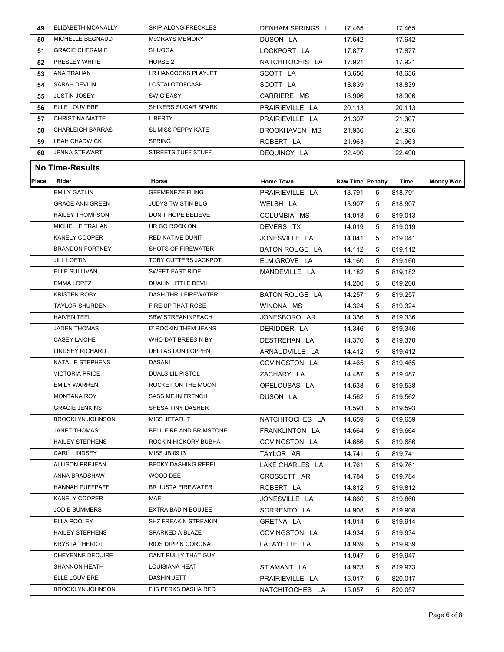| 49           | ELIZABETH MCANALLY      | SKIP-ALONG-FRECKLES        | DENHAM SPRINGS L      | 17.465                            |   | 17.465  |                  |
|--------------|-------------------------|----------------------------|-----------------------|-----------------------------------|---|---------|------------------|
| 50           | MICHELLE BEGNAUD        | McCRAYS MEMORY             | DUSON LA              | 17.642                            |   | 17.642  |                  |
| 51           | <b>GRACIE CHERAMIE</b>  | <b>SHUGGA</b>              | LOCKPORT LA           | 17.877                            |   | 17.877  |                  |
| 52           | PRESLEY WHITE           | HORSE 2                    | NATCHITOCHIS LA       | 17.921                            |   | 17.921  |                  |
| 53           | ANA TRAHAN              | LR HANCOCKS PLAYJET        | SCOTT LA              | 18.656                            |   | 18.656  |                  |
| 54           | SARAH DEVLIN            | LOSTALOTOFCASH             | SCOTT LA              | 18.839                            |   | 18.839  |                  |
| 55           | <b>JUSTIN JOSEY</b>     | SW G EASY                  | CARRIERE MS           | 18.906                            |   | 18.906  |                  |
| 56           | ELLE LOUVIERE           | SHINERS SUGAR SPARK        | PRAIRIEVILLE LA       | 20.113                            |   | 20.113  |                  |
| 57           | <b>CHRISTINA MATTE</b>  | <b>LIBERTY</b>             | PRAIRIEVILLE LA       | 21.307                            |   | 21.307  |                  |
| 58           | <b>CHARLEIGH BARRAS</b> | SL MISS PEPPY KATE         | BROOKHAVEN MS         | 21.936                            |   | 21.936  |                  |
| 59           | <b>LEAH CHADWICK</b>    | <b>SPRING</b>              | ROBERT LA             | 21.963                            |   | 21.963  |                  |
| 60           | <b>JENNA STEWART</b>    | <b>STREETS TUFF STUFF</b>  | DEQUINCY LA           | 22.490                            |   | 22.490  |                  |
|              | <b>No Time-Results</b>  |                            |                       |                                   |   |         |                  |
| <b>Place</b> | Rider                   | Horse                      | <b>Home Town</b>      |                                   |   | Time    |                  |
|              | <b>EMILY GATLIN</b>     | <b>GEEMENEZE FLING</b>     | PRAIRIEVILLE LA       | <b>Raw Time Penalty</b><br>13.791 | 5 | 818.791 | <b>Money Won</b> |
|              | <b>GRACE ANN GREEN</b>  | <b>JUDYS TWISTIN BUG</b>   | WELSH LA              | 13.907                            | 5 | 818.907 |                  |
|              | <b>HAILEY THOMPSON</b>  | DON'T HOPE BELIEVE         | COLUMBIA MS           | 14.013                            | 5 | 819.013 |                  |
|              | <b>MICHELLE TRAHAN</b>  | HR GO ROCK ON              | DEVERS TX             | 14.019                            | 5 | 819.019 |                  |
|              | KANELY COOPER           | RED NATIVE DUNIT           | JONESVILLE LA         | 14.041                            | 5 | 819.041 |                  |
|              | <b>BRANDON FORTNEY</b>  | <b>SHOTS OF FIREWATER</b>  | <b>BATON ROUGE LA</b> | 14.112                            | 5 | 819.112 |                  |
|              | <b>JILL LOFTIN</b>      | TOBY CUTTERS JACKPOT       | ELM GROVE LA          | 14.160                            | 5 | 819.160 |                  |
|              | ELLE SULLIVAN           | <b>SWEET FAST RIDE</b>     | MANDEVILLE LA         | 14.182                            | 5 | 819.182 |                  |
|              | <b>EMMA LOPEZ</b>       | <b>DUALIN LITTLE DEVIL</b> |                       | 14.200                            | 5 | 819.200 |                  |
|              | <b>KRISTEN ROBY</b>     | DASH THRU FIREWATER        | BATON ROUGE LA        | 14.257                            | 5 | 819.257 |                  |
|              | <b>TAYLOR SHURDEN</b>   | FIRE UP THAT ROSE          | WINONA MS             | 14.324                            | 5 | 819.324 |                  |
|              | <b>HAIVEN TEEL</b>      | <b>SBW STREAKINPEACH</b>   | JONESBORO AR          | 14.336                            | 5 | 819.336 |                  |
|              | <b>JADEN THOMAS</b>     | IZ ROCKIN THEM JEANS       | DERIDDER LA           | 14.346                            | 5 | 819.346 |                  |
|              | <b>CASEY LAICHE</b>     | WHO DAT BREES N BY         | DESTREHAN LA          | 14.370                            | 5 | 819.370 |                  |
|              | <b>LINDSEY RICHARD</b>  | <b>DELTAS DUN LOPPEN</b>   | ARNAUDVILLE LA        | 14.412                            | 5 | 819.412 |                  |
|              | NATALIE STEPHENS        | <b>DASANI</b>              | COVINGSTON LA         | 14.465                            | 5 | 819.465 |                  |
|              | <b>VICTORIA PRICE</b>   | DUALS LIL PISTOL           | ZACHARY LA            | 14.487                            | 5 | 819.487 |                  |
|              | <b>EMILY WARREN</b>     | ROCKET ON THE MOON         | OPELOUSAS LA          | 14.538                            | 5 | 819.538 |                  |
|              | <b>MONTANA ROY</b>      | SASS ME IN FRENCH          | DUSON LA              | 14.562                            | 5 | 819.562 |                  |
|              | <b>GRACIE JENKINS</b>   | SHESA TINY DASHER          |                       | 14.593                            | 5 | 819.593 |                  |
|              | <b>BROOKLYN JOHNSON</b> | MISS JETAFLIT              | NATCHITOCHES LA       | 14.659                            | 5 | 819.659 |                  |
|              | JANET THOMAS            | BELL FIRE AND BRIMSTONE    | FRANKLINTON LA        | 14.664                            | 5 | 819.664 |                  |
|              | <b>HAILEY STEPHENS</b>  | ROCKIN HICKORY BUBHA       | COVINGSTON LA         | 14.686                            | 5 | 819.686 |                  |
|              | <b>CARLI LINDSEY</b>    | <b>MISS JB 0913</b>        | TAYLOR AR             | 14.741                            | 5 | 819.741 |                  |
|              | <b>ALLISON PREJEAN</b>  | <b>BECKY DASHING REBEL</b> | LAKE CHARLES LA       | 14.761                            | 5 | 819.761 |                  |
|              | ANNA BRADSHAW           | WOOD DEE                   | CROSSETT AR           | 14.784                            | 5 | 819.784 |                  |
|              | <b>HANNAH PUFFPAFF</b>  | <b>BR JUSTA FIREWATER</b>  | ROBERT LA             | 14.812                            | 5 | 819.812 |                  |
|              | KANELY COOPER           | MAE                        | JONESVILLE LA         | 14.860                            | 5 | 819.860 |                  |
|              | JODIE SUMMERS           | EXTRA BAD N BOUJEE         | SORRENTO LA           | 14.908                            | 5 | 819.908 |                  |
|              | ELLA POOLEY             | SHZ FREAKIN STREAKIN       | GRETNA LA             | 14.914                            | 5 | 819.914 |                  |
|              | <b>HAILEY STEPHENS</b>  | SPARKED A BLAZE            | COVINGSTON LA         | 14.934                            | 5 | 819.934 |                  |
|              | <b>KRYSTA THERIOT</b>   | RIOS DIPPIN CORONA         | LAFAYETTE LA          | 14.939                            | 5 | 819.939 |                  |
|              | CHEYENNE DECUIRE        | CANT BULLY THAT GUY        |                       | 14.947                            | 5 | 819.947 |                  |
|              | SHANNON HEATH           | LOUISIANA HEAT             | ST AMANT LA           | 14.973                            | 5 | 819.973 |                  |
|              | ELLE LOUVIERE           | DASHIN JETT                | PRAIRIEVILLE LA       | 15.017                            | 5 | 820.017 |                  |
|              | <b>BROOKLYN JOHNSON</b> | FJS PERKS DASHA RED        | NATCHITOCHES LA       | 15.057                            | 5 | 820.057 |                  |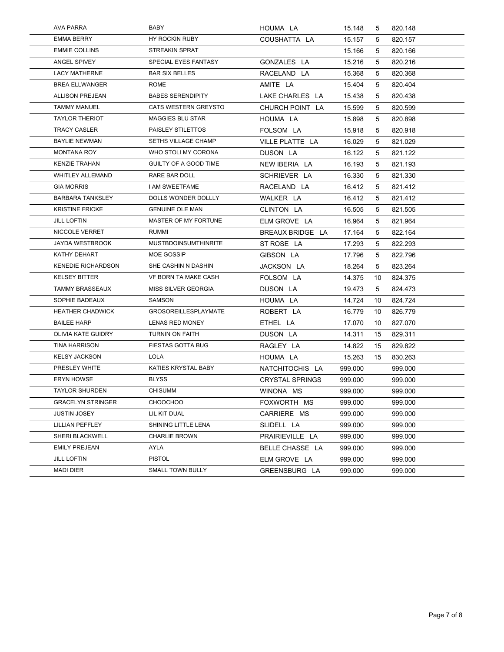| <b>AVA PARRA</b>          | BABY                        | HOUMA LA               | 15.148  | 5  | 820.148 |
|---------------------------|-----------------------------|------------------------|---------|----|---------|
| <b>EMMA BERRY</b>         | HY ROCKIN RUBY              | COUSHATTA LA           | 15.157  | 5  | 820.157 |
| <b>EMMIE COLLINS</b>      | STREAKIN SPRAT              |                        | 15.166  | 5  | 820.166 |
| ANGEL SPIVEY              | SPECIAL EYES FANTASY        | GONZALES LA            | 15.216  | 5  | 820.216 |
| <b>LACY MATHERNE</b>      | <b>BAR SIX BELLES</b>       | RACELAND LA            | 15.368  | 5  | 820.368 |
| <b>BREA ELLWANGER</b>     | <b>ROME</b>                 | AMITE LA               | 15.404  | 5  | 820.404 |
| <b>ALLISON PREJEAN</b>    | <b>BABES SERENDIPITY</b>    | LAKE CHARLES LA        | 15.438  | 5  | 820.438 |
| <b>TAMMY MANUEL</b>       | <b>CATS WESTERN GREYSTO</b> | CHURCH POINT LA        | 15.599  | 5  | 820.599 |
| <b>TAYLOR THERIOT</b>     | <b>MAGGIES BLU STAR</b>     | HOUMA LA               | 15.898  | 5  | 820.898 |
| <b>TRACY CASLER</b>       | PAISLEY STILETTOS           | FOLSOM LA              | 15.918  | 5  | 820.918 |
| <b>BAYLIE NEWMAN</b>      | <b>SETHS VILLAGE CHAMP</b>  | VILLE PLATTE LA        | 16.029  | 5  | 821.029 |
| <b>MONTANA ROY</b>        | WHO STOLI MY CORONA         | DUSON LA               | 16.122  | 5  | 821.122 |
| <b>KENZIE TRAHAN</b>      | GUILTY OF A GOOD TIME       | NEW IBERIA LA          | 16.193  | 5  | 821.193 |
| <b>WHITLEY ALLEMAND</b>   | RARE BAR DOLL               | SCHRIEVER LA           | 16.330  | 5  | 821.330 |
| <b>GIA MORRIS</b>         | I AM SWEETFAME              | RACELAND LA            | 16.412  | 5  | 821.412 |
| <b>BARBARA TANKSLEY</b>   | DOLLS WONDER DOLLLY         | WALKER LA              | 16.412  | 5  | 821.412 |
| <b>KRISTINE FRICKE</b>    | <b>GENUINE OLE MAN</b>      | CLINTON LA             | 16.505  | 5  | 821.505 |
| <b>JILL LOFTIN</b>        | MASTER OF MY FORTUNE        | ELM GROVE LA           | 16.964  | 5  | 821.964 |
| NICCOLE VERRET            | <b>RUMMI</b>                | BREAUX BRIDGE LA       | 17.164  | 5  | 822.164 |
| <b>JAYDA WESTBROOK</b>    | <b>MUSTBDOINSUMTHINRITE</b> | ST ROSE LA             | 17.293  | 5  | 822.293 |
| KATHY DEHART              | MOE GOSSIP                  | GIBSON LA              | 17.796  | 5  | 822.796 |
| <b>KENEDIE RICHARDSON</b> | SHE CASHIN N DASHIN         | JACKSON LA             | 18.264  | 5  | 823.264 |
| <b>KELSEY BITTER</b>      | VF BORN TA MAKE CASH        | FOLSOM LA              | 14.375  | 10 | 824.375 |
| <b>TAMMY BRASSEAUX</b>    | MISS SILVER GEORGIA         | DUSON LA               | 19.473  | 5  | 824.473 |
| SOPHIE BADEAUX            | <b>SAMSON</b>               | HOUMA LA               | 14.724  | 10 | 824.724 |
| <b>HEATHER CHADWICK</b>   | <b>GROSOREILLESPLAYMATE</b> | ROBERT LA              | 16.779  | 10 | 826.779 |
| <b>BAILEE HARP</b>        | LENAS RED MONEY             | ETHEL LA               | 17.070  | 10 | 827.070 |
| <b>OLIVIA KATE GUIDRY</b> | <b>TURNIN ON FAITH</b>      | DUSON LA               | 14.311  | 15 | 829.311 |
| <b>TINA HARRISON</b>      | FIESTAS GOTTA BUG           | RAGLEY LA              | 14.822  | 15 | 829.822 |
| <b>KELSY JACKSON</b>      | LOLA                        | HOUMA LA               | 15.263  | 15 | 830.263 |
| PRESLEY WHITE             | KATIES KRYSTAL BABY         | NATCHITOCHIS LA        | 999.000 |    | 999.000 |
| <b>ERYN HOWSE</b>         | <b>BLYSS</b>                | <b>CRYSTAL SPRINGS</b> | 999.000 |    | 999.000 |
| <b>TAYLOR SHURDEN</b>     | CHISUMM                     | WINONA MS              | 999.000 |    | 999.000 |
| <b>GRACELYN STRINGER</b>  | <b>CHOOCHOO</b>             | FOXWORTH MS            | 999.000 |    | 999.000 |
| <b>JUSTIN JOSEY</b>       | LIL KIT DUAL                | CARRIERE MS            | 999.000 |    | 999.000 |
| LILLIAN PEFFLEY           | SHINING LITTLE LENA         | SLIDELL LA             | 999.000 |    | 999.000 |
| SHERI BLACKWELL           | <b>CHARLIE BROWN</b>        | PRAIRIEVILLE LA        | 999.000 |    | 999.000 |
| <b>EMILY PREJEAN</b>      | AYLA                        | BELLE CHASSE LA        | 999.000 |    | 999.000 |
| <b>JILL LOFTIN</b>        | <b>PISTOL</b>               | ELM GROVE LA           | 999.000 |    | 999.000 |
| <b>MADI DIER</b>          | SMALL TOWN BULLY            | GREENSBURG LA          | 999.000 |    | 999.000 |